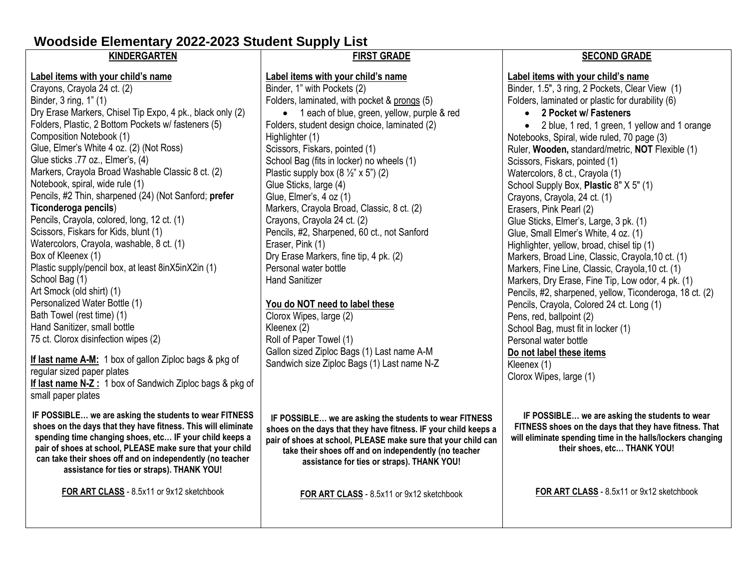# **Woodside Elementary 2022-2023 Student Supply List**

**pair of shoes at school, PLEASE make sure that your child can take their shoes off and on independently (no teacher assistance for ties or straps). THANK YOU!**

**FOR ART CLASS** - 8.5x11 or 9x12 sketchbook

#### **KINDERGARTEN Label items with your child's name** Crayons, Crayola 24 ct. (2) Binder, 3 ring, 1" (1) Dry Erase Markers, Chisel Tip Expo, 4 pk., black only (2) Folders, Plastic, 2 Bottom Pockets w/ fasteners (5) Composition Notebook (1) Glue, Elmer's White 4 oz. (2) (Not Ross) Glue sticks .77 oz., Elmer's, (4) Markers, Crayola Broad Washable Classic 8 ct. (2) Notebook, spiral, wide rule (1) Pencils, #2 Thin, sharpened (24) (Not Sanford; **prefer Ticonderoga pencils**) Pencils, Crayola, colored, long, 12 ct. (1) Scissors, Fiskars for Kids, blunt (1) Watercolors, Crayola, washable, 8 ct. (1) Box of Kleenex (1) Plastic supply/pencil box, at least 8inX5inX2in (1) School Bag (1) Art Smock (old shirt) (1) Personalized Water Bottle (1) Bath Towel (rest time) (1) Hand Sanitizer, small bottle 75 ct. Clorox disinfection wipes (2) **If last name A-M:** 1 box of gallon Ziploc bags & pkg of regular sized paper plates **If last name N-Z :** 1 box of Sandwich Ziploc bags & pkg of small paper plates **IF POSSIBLE… we are asking the students to wear FITNESS shoes on the days that they have fitness. This will eliminate spending time changing shoes, etc… IF your child keeps a FIRST GRADE Label items with your child's name** Binder, 1" with Pockets (2) Folders, laminated, with pocket & prongs (5) • 1 each of blue, green, yellow, purple & red Folders, student design choice, laminated (2) Highlighter (1) Scissors, Fiskars, pointed (1) School Bag (fits in locker) no wheels (1) Plastic supply box  $(8 \frac{1}{2} x 5)$  (2) Glue Sticks, large (4) Glue, Elmer's, 4 oz (1) Markers, Crayola Broad, Classic, 8 ct. (2) Crayons, Crayola 24 ct. (2) Pencils, #2, Sharpened, 60 ct., not Sanford Eraser, Pink (1) Dry Erase Markers, fine tip, 4 pk. (2) Personal water bottle Hand Sanitizer **You do NOT need to label these** Clorox Wipes, large (2) Kleenex (2) Roll of Paper Towel (1) Gallon sized Ziploc Bags (1) Last name A-M Sandwich size Ziploc Bags (1) Last name N-Z **IF POSSIBLE… we are asking the students to wear FITNESS shoes on the days that they have fitness. IF your child keeps a SECOND GRADE Label items with your child's name** Binder, 1.5", 3 ring, 2 Pockets, Clear View (1) Folders, laminated or plastic for durability (6) • **2 Pocket w/ Fasteners** • 2 blue, 1 red, 1 green, 1 yellow and 1 orange Notebooks, Spiral, wide ruled, 70 page (3) Ruler, **Wooden,** standard/metric, **NOT** Flexible (1) Scissors, Fiskars, pointed (1) Watercolors, 8 ct., Crayola (1) School Supply Box, **Plastic** 8" X 5" (1) Crayons, Crayola, 24 ct. (1) Erasers, Pink Pearl (2) Glue Sticks, Elmer's, Large, 3 pk. (1) Glue, Small Elmer's White, 4 oz. (1) Highlighter, yellow, broad, chisel tip (1) Markers, Broad Line, Classic, Crayola,10 ct. (1) Markers, Fine Line, Classic, Crayola,10 ct. (1) Markers, Dry Erase, Fine Tip, Low odor, 4 pk. (1) Pencils, #2, sharpened, yellow, Ticonderoga, 18 ct. (2) Pencils, Crayola, Colored 24 ct. Long (1) Pens, red, ballpoint (2) School Bag, must fit in locker (1) Personal water bottle **Do not label these items** Kleenex (1) Clorox Wipes, large (1) **IF POSSIBLE… we are asking the students to wear FITNESS shoes on the days that they have fitness. That will eliminate spending time in the halls/lockers changing**

**their shoes, etc… THANK YOU!**

**FOR ART CLASS** - 8.5x11 or 9x12 sketchbook

**pair of shoes at school, PLEASE make sure that your child can take their shoes off and on independently (no teacher assistance for ties or straps). THANK YOU!**

**FOR ART CLASS** - 8.5x11 or 9x12 sketchbook